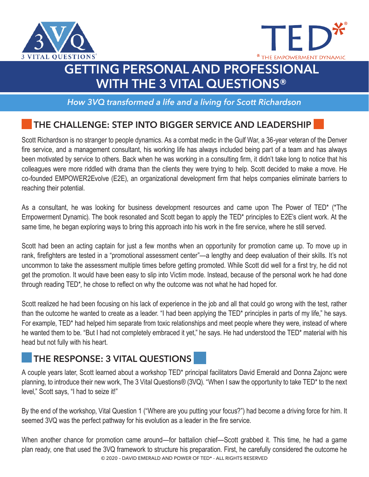



## **GETTING PERSONAL AND PROFESSIONAL WITH THE 3 VITAL QUESTIONS®**

*How 3VQ transformed a life and a living for Scott Richardson*

## **THE CHALLENGE: STEP INTO BIGGER SERVICE AND LEADERSHIP**

Scott Richardson is no stranger to people dynamics. As a combat medic in the Gulf War, a 36-year veteran of the Denver fire service, and a management consultant, his working life has always included being part of a team and has always been motivated by service to others. Back when he was working in a consulting firm, it didn't take long to notice that his colleagues were more riddled with drama than the clients they were trying to help. Scott decided to make a move. He co-founded EMPOWER2Evolve (E2E), an organizational development firm that helps companies eliminate barriers to reaching their potential.

As a consultant, he was looking for business development resources and came upon The Power of TED\* (\*The Empowerment Dynamic). The book resonated and Scott began to apply the TED\* principles to E2E's client work. At the same time, he began exploring ways to bring this approach into his work in the fire service, where he still served.

Scott had been an acting captain for just a few months when an opportunity for promotion came up. To move up in rank, firefighters are tested in a "promotional assessment center"—a lengthy and deep evaluation of their skills. It's not uncommon to take the assessment multiple times before getting promoted. While Scott did well for a first try, he did not get the promotion. It would have been easy to slip into Victim mode. Instead, because of the personal work he had done through reading TED\*, he chose to reflect on why the outcome was not what he had hoped for.

Scott realized he had been focusing on his lack of experience in the job and all that could go wrong with the test, rather than the outcome he wanted to create as a leader. "I had been applying the TED\* principles in parts of my life," he says. For example, TED\* had helped him separate from toxic relationships and meet people where they were, instead of where he wanted them to be. "But I had not completely embraced it yet," he says. He had understood the TED\* material with his head but not fully with his heart.

## **THE RESPONSE: 3 VITAL QUESTIONS**

A couple years later, Scott learned about a workshop TED\* principal facilitators David Emerald and Donna Zajonc were planning, to introduce their new work, The 3 Vital Questions® (3VQ). "When I saw the opportunity to take TED\* to the next level," Scott says, "I had to seize it!"

By the end of the workshop, Vital Question 1 ("Where are you putting your focus?") had become a driving force for him. It seemed 3VQ was the perfect pathway for his evolution as a leader in the fire service.

© 2020 – DAVID EMERALD AND POWER OF TED\* - ALL RIGHTS RESERVED When another chance for promotion came around—for battalion chief—Scott grabbed it. This time, he had a game plan ready, one that used the 3VQ framework to structure his preparation. First, he carefully considered the outcome he